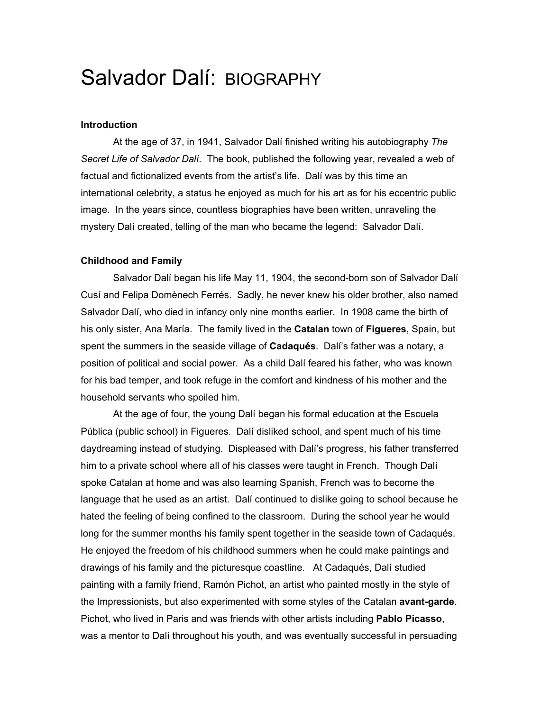# Salvador Dalí: BIOGRAPHY

## **Introduction**

At the age of 37, in 1941, Salvador Dalí finished writing his autobiography *The Secret Life of Salvador Dalí*. The book, published the following year, revealed a web of factual and fictionalized events from the artist's life. Dalí was by this time an international celebrity, a status he enjoyed as much for his art as for his eccentric public image. In the years since, countless biographies have been written, unraveling the mystery Dalí created, telling of the man who became the legend: Salvador Dalí.

### **Childhood and Family**

Salvador Dalí began his life May 11, 1904, the second-born son of Salvador Dalí Cusí and Felipa Domènech Ferrés. Sadly, he never knew his older brother, also named Salvador Dalí, who died in infancy only nine months earlier. In 1908 came the birth of his only sister, Ana María. The family lived in the **Catalan** town of **Figueres**, Spain, but spent the summers in the seaside village of **Cadaqués**. Dalí's father was a notary, a position of political and social power. As a child Dalí feared his father, who was known for his bad temper, and took refuge in the comfort and kindness of his mother and the household servants who spoiled him.

At the age of four, the young Dalí began his formal education at the Escuela Pública (public school) in Figueres. Dalí disliked school, and spent much of his time daydreaming instead of studying. Displeased with Dalí's progress, his father transferred him to a private school where all of his classes were taught in French. Though Dalí spoke Catalan at home and was also learning Spanish, French was to become the language that he used as an artist. Dalí continued to dislike going to school because he hated the feeling of being confined to the classroom. During the school year he would long for the summer months his family spent together in the seaside town of Cadaqués. He enjoyed the freedom of his childhood summers when he could make paintings and drawings of his family and the picturesque coastline. At Cadaqués, Dalí studied painting with a family friend, Ramón Pichot, an artist who painted mostly in the style of the Impressionists, but also experimented with some styles of the Catalan **avant-garde**. Pichot, who lived in Paris and was friends with other artists including **Pablo Picasso**, was a mentor to Dalí throughout his youth, and was eventually successful in persuading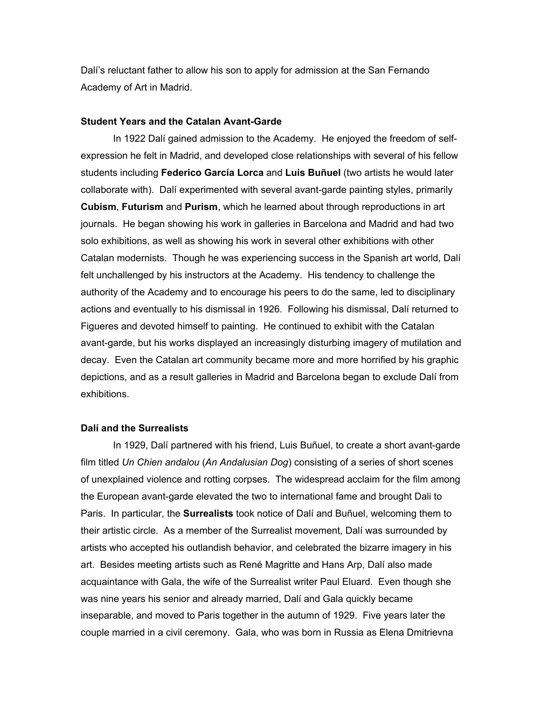Dalí's reluctant father to allow his son to apply for admission at the San Fernando Academy of Art in Madrid.

### **Student Years and the Catalan Avant-Garde**

In 1922 Dalí gained admission to the Academy. He enjoyed the freedom of selfexpression he felt in Madrid, and developed close relationships with several of his fellow students including **Federico García Lorca** and **Luis Buñuel** (two artists he would later collaborate with). Dalí experimented with several avant-garde painting styles, primarily **Cubism**, **Futurism** and **Purism**, which he learned about through reproductions in art journals. He began showing his work in galleries in Barcelona and Madrid and had two solo exhibitions, as well as showing his work in several other exhibitions with other Catalan modernists. Though he was experiencing success in the Spanish art world, Dalí felt unchallenged by his instructors at the Academy. His tendency to challenge the authority of the Academy and to encourage his peers to do the same, led to disciplinary actions and eventually to his dismissal in 1926. Following his dismissal, Dalí returned to Figueres and devoted himself to painting. He continued to exhibit with the Catalan avant-garde, but his works displayed an increasingly disturbing imagery of mutilation and decay. Even the Catalan art community became more and more horrified by his graphic depictions, and as a result galleries in Madrid and Barcelona began to exclude Dalí from exhibitions.

#### **Dalí and the Surrealists**

In 1929, Dalí partnered with his friend, Luis Buñuel, to create a short avant-garde film titled *Un Chien andalou* (*An Andalusian Dog*) consisting of a series of short scenes of unexplained violence and rotting corpses. The widespread acclaim for the film among the European avant-garde elevated the two to international fame and brought Dali to Paris. In particular, the **Surrealists** took notice of Dalí and Buñuel, welcoming them to their artistic circle. As a member of the Surrealist movement, Dalí was surrounded by artists who accepted his outlandish behavior, and celebrated the bizarre imagery in his art. Besides meeting artists such as René Magritte and Hans Arp, Dalí also made acquaintance with Gala, the wife of the Surrealist writer Paul Eluard. Even though she was nine years his senior and already married, Dalí and Gala quickly became inseparable, and moved to Paris together in the autumn of 1929. Five years later the couple married in a civil ceremony. Gala, who was born in Russia as Elena Dmitrievna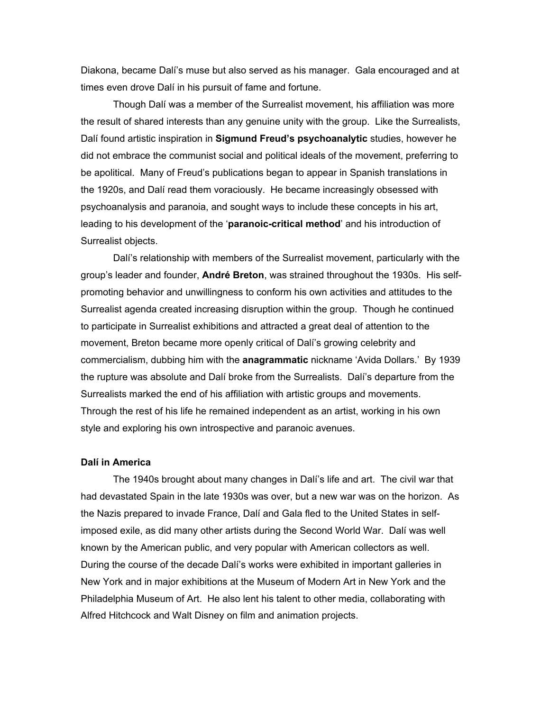Diakona, became Dalí's muse but also served as his manager. Gala encouraged and at times even drove Dalí in his pursuit of fame and fortune.

Though Dalí was a member of the Surrealist movement, his affiliation was more the result of shared interests than any genuine unity with the group. Like the Surrealists, Dalí found artistic inspiration in **Sigmund Freud's psychoanalytic** studies, however he did not embrace the communist social and political ideals of the movement, preferring to be apolitical. Many of Freud's publications began to appear in Spanish translations in the 1920s, and Dalí read them voraciously. He became increasingly obsessed with psychoanalysis and paranoia, and sought ways to include these concepts in his art, leading to his development of the '**paranoic-critical method**' and his introduction of Surrealist objects.

Dalí's relationship with members of the Surrealist movement, particularly with the group's leader and founder, **André Breton**, was strained throughout the 1930s. His selfpromoting behavior and unwillingness to conform his own activities and attitudes to the Surrealist agenda created increasing disruption within the group. Though he continued to participate in Surrealist exhibitions and attracted a great deal of attention to the movement, Breton became more openly critical of Dalí's growing celebrity and commercialism, dubbing him with the **anagrammatic** nickname 'Avida Dollars.' By 1939 the rupture was absolute and Dalí broke from the Surrealists. Dalí's departure from the Surrealists marked the end of his affiliation with artistic groups and movements. Through the rest of his life he remained independent as an artist, working in his own style and exploring his own introspective and paranoic avenues.

#### **Dalí in America**

The 1940s brought about many changes in Dalí's life and art. The civil war that had devastated Spain in the late 1930s was over, but a new war was on the horizon. As the Nazis prepared to invade France, Dalí and Gala fled to the United States in selfimposed exile, as did many other artists during the Second World War. Dalí was well known by the American public, and very popular with American collectors as well. During the course of the decade Dalí's works were exhibited in important galleries in New York and in major exhibitions at the Museum of Modern Art in New York and the Philadelphia Museum of Art. He also lent his talent to other media, collaborating with Alfred Hitchcock and Walt Disney on film and animation projects.